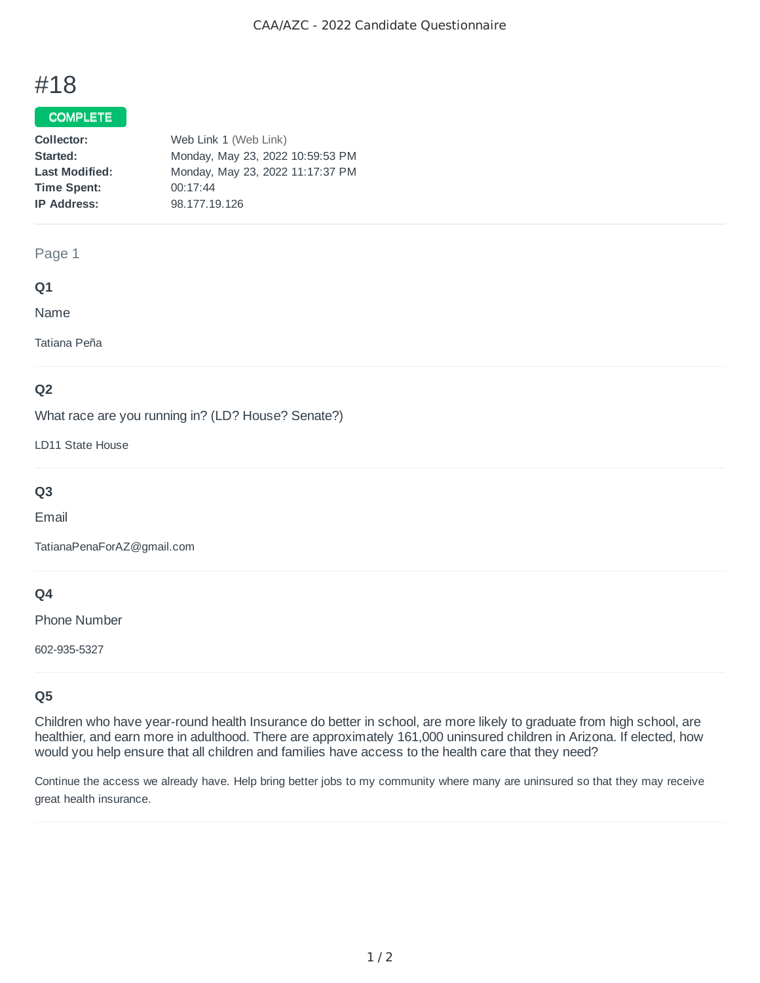# #18

## COMPLETE

| Web Link 1 (Web Link)            |
|----------------------------------|
| Monday, May 23, 2022 10:59:53 PM |
| Monday, May 23, 2022 11:17:37 PM |
| 00:17:44                         |
| 98.177.19.126                    |
|                                  |

## Page 1

## **Q1**

Name

Tatiana Peña

## **Q2**

What race are you running in? (LD? House? Senate?)

LD11 State House

# **Q3**

Email

TatianaPenaForAZ@gmail.com

## **Q4**

Phone Number

602-935-5327

# **Q5**

Children who have year-round health Insurance do better in school, are more likely to graduate from high school, are healthier, and earn more in adulthood. There are approximately 161,000 uninsured children in Arizona. If elected, how would you help ensure that all children and families have access to the health care that they need?

Continue the access we already have. Help bring better jobs to my community where many are uninsured so that they may receive great health insurance.